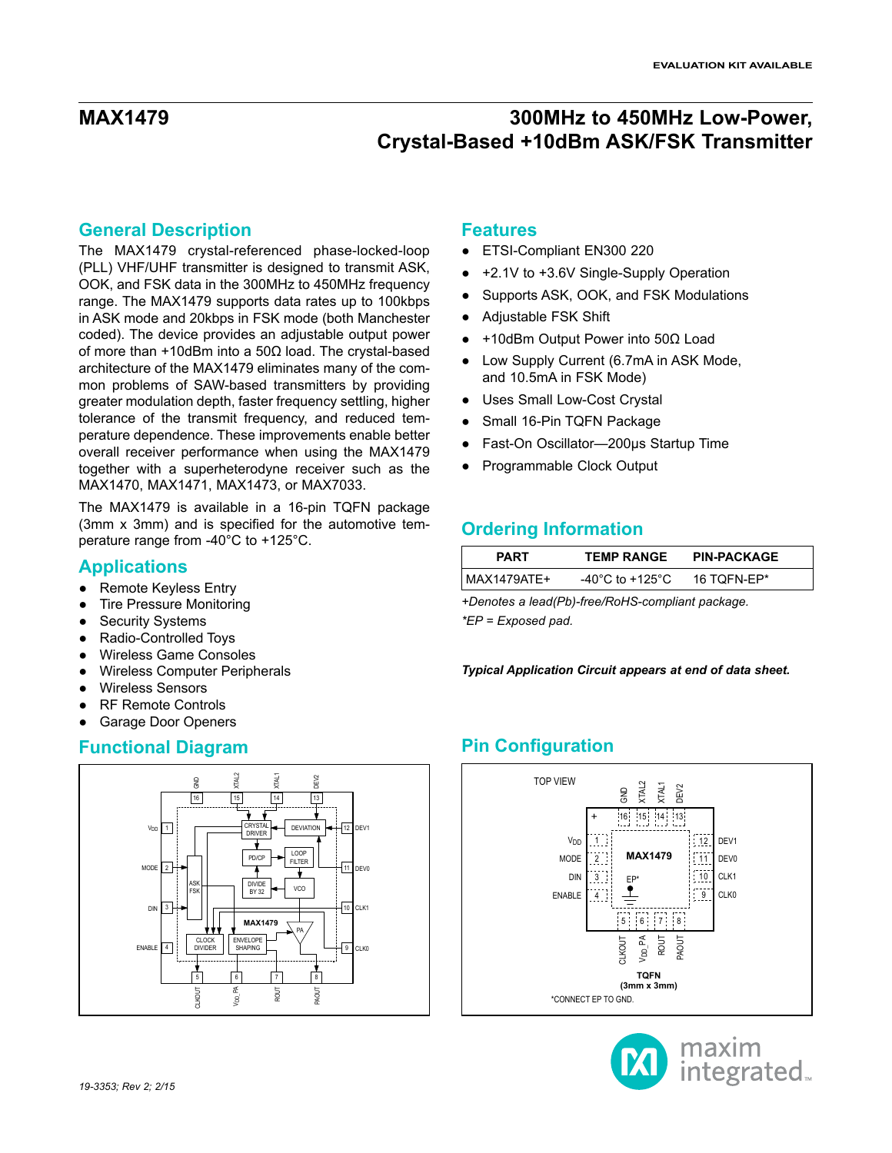## **General Description**

The MAX1479 crystal-referenced phase-locked-loop (PLL) VHF/UHF transmitter is designed to transmit ASK, OOK, and FSK data in the 300MHz to 450MHz frequency range. The MAX1479 supports data rates up to 100kbps in ASK mode and 20kbps in FSK mode (both Manchester coded). The device provides an adjustable output power of more than +10dBm into a 50Ω load. The crystal-based architecture of the MAX1479 eliminates many of the common problems of SAW-based transmitters by providing greater modulation depth, faster frequency settling, higher tolerance of the transmit frequency, and reduced temperature dependence. These improvements enable better overall receiver performance when using the MAX1479 together with a superheterodyne receiver such as the MAX1470, MAX1471, MAX1473, or MAX7033.

The MAX1479 is available in a 16-pin TQFN package (3mm x 3mm) and is specified for the automotive temperature range from -40°C to +125°C.

## **Applications**

- **Remote Keyless Entry**
- **Tire Pressure Monitoring**
- **Security Systems**
- Radio-Controlled Toys
- **Wireless Game Consoles**
- **Wireless Computer Peripherals**
- **Wireless Sensors**
- **RF Remote Controls**
- **Garage Door Openers**



### **Features**

- ETSI-Compliant EN300 220
- +2.1V to +3.6V Single-Supply Operation
- Supports ASK, OOK, and FSK Modulations
- Adjustable FSK Shift
- +10dBm Output Power into 50Ω Load
- Low Supply Current (6.7mA in ASK Mode, and 10.5mA in FSK Mode)
- Uses Small Low-Cost Crystal
- Small 16-Pin TQFN Package
- Fast-On Oscillator—200μs Startup Time
- Programmable Clock Output

## **Ordering Information**

| PART        | <b>TEMP RANGE</b> | <b>PIN-PACKAGE</b> |
|-------------|-------------------|--------------------|
| MAX1479ATE+ | -40°C to +125°C   | 16 TOFN-EP*        |

*+Denotes a lead(Pb)-free/RoHS-compliant package. \*EP = Exposed pad.*

*Typical Application Circuit appears at end of data sheet.*

## **Functional Diagram Pin Configuration**



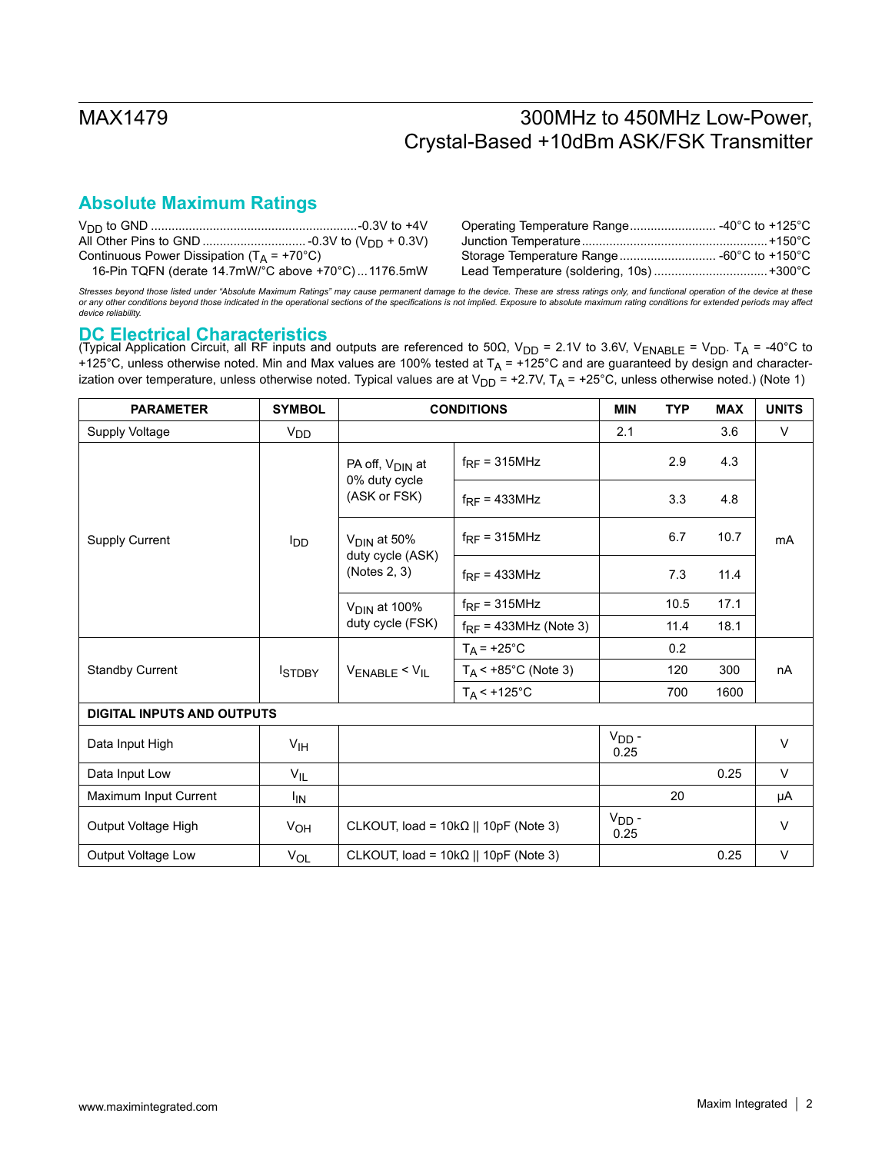# **Absolute Maximum Ratings**

| Continuous Power Dissipation ( $T_A$ = +70 <sup>o</sup> C) |  |
|------------------------------------------------------------|--|
| 16-Pin TQFN (derate 14.7mW/°C above +70°C)1176.5mW         |  |

*Stresses beyond those listed under "Absolute Maximum Ratings" may cause permanent damage to the device. These are stress ratings only, and functional operation of the device at these*  or any other conditions beyond those indicated in the operational sections of the specifications is not implied. Exposure to absolute maximum rating conditions for extended periods may affect<br>device reliability.

## **DC Electrical Characteristics**

(Typical Application Circuit, all RF inputs and outputs are referenced to 50Ω, V<sub>DD</sub> = 2.1V to 3.6V, V<sub>ENABLE</sub> = V<sub>DD</sub>. T<sub>A</sub> = -40°C to +125°C, unless otherwise noted. Min and Max values are 100% tested at  $T_A$  = +125°C and are guaranteed by design and characterization over temperature, unless otherwise noted. Typical values are at  $V_{DD}$  = +2.7V,  $T_A$  = +25°C, unless otherwise noted.) (Note 1)

| <b>PARAMETER</b>                  | <b>SYMBOL</b>         |                                              | <b>CONDITIONS</b>              | <b>MIN</b>         | <b>TYP</b> | <b>MAX</b> | <b>UNITS</b> |
|-----------------------------------|-----------------------|----------------------------------------------|--------------------------------|--------------------|------------|------------|--------------|
| Supply Voltage                    | <b>V<sub>DD</sub></b> |                                              |                                | 2.1                |            | 3.6        | $\vee$       |
|                                   |                       | PA off, $V_{\text{DIN}}$ at                  | $f_{RF}$ = 315MHz              |                    | 2.9        | 4.3        |              |
|                                   |                       | 0% duty cycle<br>(ASK or FSK)                | $f_{RF}$ = 433MHz              |                    | 3.3        | 4.8        |              |
| <b>Supply Current</b>             | <b>I</b> DD           | $VDIN$ at 50%                                | $f_{RF}$ = 315MHz              |                    | 6.7        | 10.7       | mA           |
|                                   |                       | duty cycle (ASK)<br>(Notes 2, 3)             | $f_{RF}$ = 433MHz              |                    | 7.3        | 11.4       |              |
|                                   |                       | V <sub>DIN</sub> at 100%<br>duty cycle (FSK) | $f_{RF}$ = 315MHz              |                    | 10.5       | 17.1       |              |
|                                   |                       |                                              | $f_{RF}$ = 433MHz (Note 3)     |                    | 11.4       | 18.1       |              |
|                                   | <b>ISTDBY</b>         | $V_{ENABLE} < V_{IL}$                        | $T_A$ = +25°C                  |                    | 0.2        |            | nA           |
| <b>Standby Current</b>            |                       |                                              | $T_A < +85^{\circ}$ C (Note 3) |                    | 120        | 300        |              |
|                                   |                       |                                              | $T_A$ < +125°C                 |                    | 700        | 1600       |              |
| <b>DIGITAL INPUTS AND OUTPUTS</b> |                       |                                              |                                |                    |            |            |              |
| Data Input High                   | V <sub>IH</sub>       |                                              |                                | $V_{DD}$ -<br>0.25 |            |            | $\vee$       |
| Data Input Low                    | $V_{IL}$              |                                              |                                |                    |            | 0.25       | $\vee$       |
| Maximum Input Current             | ΙM                    |                                              |                                |                    | 20         |            | μA           |
| Output Voltage High               | V <sub>OH</sub>       | CLKOUT, load = $10k\Omega$    10pF (Note 3)  |                                | $VDD$ -<br>0.25    |            |            | $\vee$       |
| Output Voltage Low                | $V_{OL}$              | CLKOUT, load = $10k\Omega$    10pF (Note 3)  |                                |                    |            | 0.25       | $\vee$       |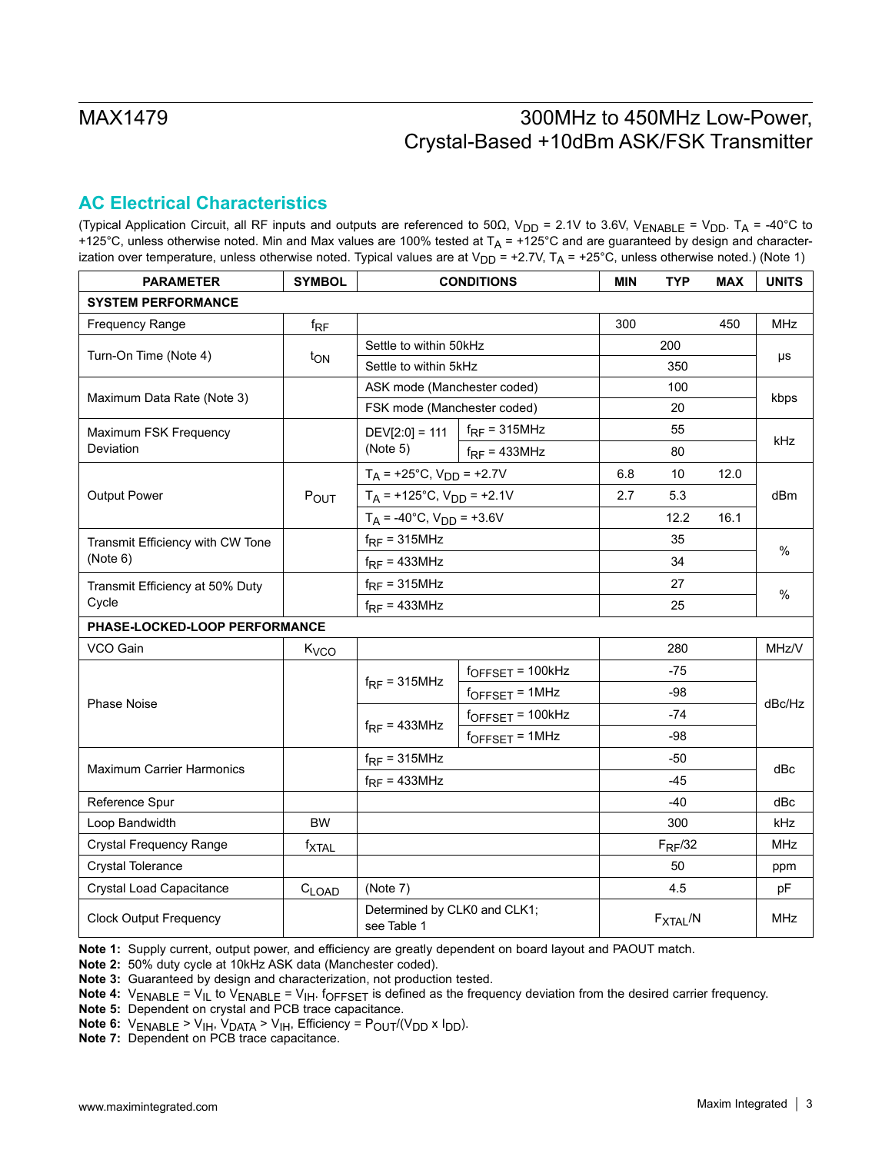## **AC Electrical Characteristics**

(Typical Application Circuit, all RF inputs and outputs are referenced to 50Ω, V<sub>DD</sub> = 2.1V to 3.6V, V<sub>ENABLE</sub> = V<sub>DD</sub>. T<sub>A</sub> = -40°C to +125°C, unless otherwise noted. Min and Max values are 100% tested at  $T_A$  = +125°C and are guaranteed by design and characterization over temperature, unless otherwise noted. Typical values are at  $V_{DD}$  = +2.7V,  $T_A$  = +25°C, unless otherwise noted.) (Note 1)

| <b>PARAMETER</b>                 | <b>SYMBOL</b>     |                                             | <b>CONDITIONS</b>           | <b>MIN</b> | <b>TYP</b>           | <b>MAX</b> | <b>UNITS</b> |  |
|----------------------------------|-------------------|---------------------------------------------|-----------------------------|------------|----------------------|------------|--------------|--|
| <b>SYSTEM PERFORMANCE</b>        |                   |                                             |                             |            |                      |            |              |  |
| Frequency Range                  | $f_{\mathsf{RF}}$ |                                             |                             |            |                      | 450        | <b>MHz</b>   |  |
| Turn-On Time (Note 4)            |                   |                                             | Settle to within 50kHz      |            | 200                  |            |              |  |
|                                  | t <sub>ON</sub>   | Settle to within 5kHz                       |                             |            | 350                  |            | μs           |  |
| Maximum Data Rate (Note 3)       |                   |                                             | ASK mode (Manchester coded) |            | 100                  |            | kbps         |  |
|                                  |                   | FSK mode (Manchester coded)                 |                             |            | 20                   |            |              |  |
| Maximum FSK Frequency            |                   | $DEV[2:0] = 111$                            | $f_{RF}$ = 315MHz           |            | 55                   |            |              |  |
| Deviation                        |                   | (Note 5)                                    | $f_{RF}$ = 433MHz           |            | 80                   |            | kHz          |  |
|                                  |                   | $T_A$ = +25°C, $V_{DD}$ = +2.7V             |                             | 6.8        | 10                   | 12.0       |              |  |
| Output Power                     | POUT              | $T_A$ = +125°C, $V_{DD}$ = +2.1V            |                             | 2.7        | 5.3                  |            | dBm          |  |
|                                  |                   | $T_A$ = -40°C, $V_{DD}$ = +3.6V             |                             |            | 12.2                 | 16.1       |              |  |
| Transmit Efficiency with CW Tone |                   | $f_{RF}$ = 315MHz                           |                             |            | 35                   |            | $\%$         |  |
| (Note 6)                         |                   | $f_{RF}$ = 433MHz                           |                             |            | 34                   |            |              |  |
| Transmit Efficiency at 50% Duty  |                   | $f_{RF}$ = 315MHz                           |                             |            | 27                   |            |              |  |
| Cycle                            |                   | $f_{RF}$ = 433MHz                           |                             |            | 25                   |            | $\%$         |  |
| PHASE-LOCKED-LOOP PERFORMANCE    |                   |                                             |                             |            |                      |            |              |  |
| VCO Gain                         | K <sub>VCO</sub>  |                                             |                             |            | 280                  |            | MHz/V        |  |
|                                  |                   |                                             | $f_{OFFSET} = 100kHz$       |            | $-75$                |            |              |  |
| <b>Phase Noise</b>               |                   | $f_{RF}$ = 315MHz                           | $f_{OFFSET} = 1 MHz$        |            | -98                  |            | dBc/Hz       |  |
|                                  |                   |                                             | $f_{OFFSET} = 100kHz$       |            | $-74$                |            |              |  |
|                                  |                   | $f_{RF}$ = 433MHz                           | $f_{OFFSET} = 1 MHz$        |            | $-98$                |            |              |  |
| <b>Maximum Carrier Harmonics</b> |                   | $f_{RF} = 315 MHz$                          |                             | $-50$      |                      |            |              |  |
|                                  |                   | $f_{RF}$ = 433MHz                           |                             |            | $-45$                |            | dBc          |  |
| Reference Spur                   |                   |                                             |                             |            | $-40$                |            | dBc          |  |
| Loop Bandwidth                   | <b>BW</b>         |                                             |                             |            | 300                  |            | kHz          |  |
| <b>Crystal Frequency Range</b>   | <b>fxtal</b>      |                                             |                             |            | $F_{RF}/32$          |            | MHz          |  |
| <b>Crystal Tolerance</b>         |                   |                                             |                             |            | 50                   |            | ppm          |  |
| Crystal Load Capacitance         | $C_{LOAD}$        | (Note 7)                                    |                             |            | 4.5                  |            | pF           |  |
| <b>Clock Output Frequency</b>    |                   | Determined by CLK0 and CLK1;<br>see Table 1 |                             |            | F <sub>XTAL</sub> /N |            | <b>MHz</b>   |  |

**Note 1:** Supply current, output power, and efficiency are greatly dependent on board layout and PAOUT match.

**Note 2:** 50% duty cycle at 10kHz ASK data (Manchester coded).

**Note 3:** Guaranteed by design and characterization, not production tested.

**Note 4:** V<sub>ENABLE</sub> = V<sub>IL</sub> to V<sub>ENABLE</sub> = V<sub>IH</sub>. f<sub>OFFSET</sub> is defined as the frequency deviation from the desired carrier frequency.

**Note 5:** Dependent on crystal and PCB trace capacitance.

**Note 6:**  $V_{ENABLE}$  >  $V_{IH}$ ,  $V_{DATA}$  >  $V_{IH}$ , Efficiency =  $P_{OUT}/(V_{DD} \times I_{DD})$ .

**Note 7:** Dependent on PCB trace capacitance.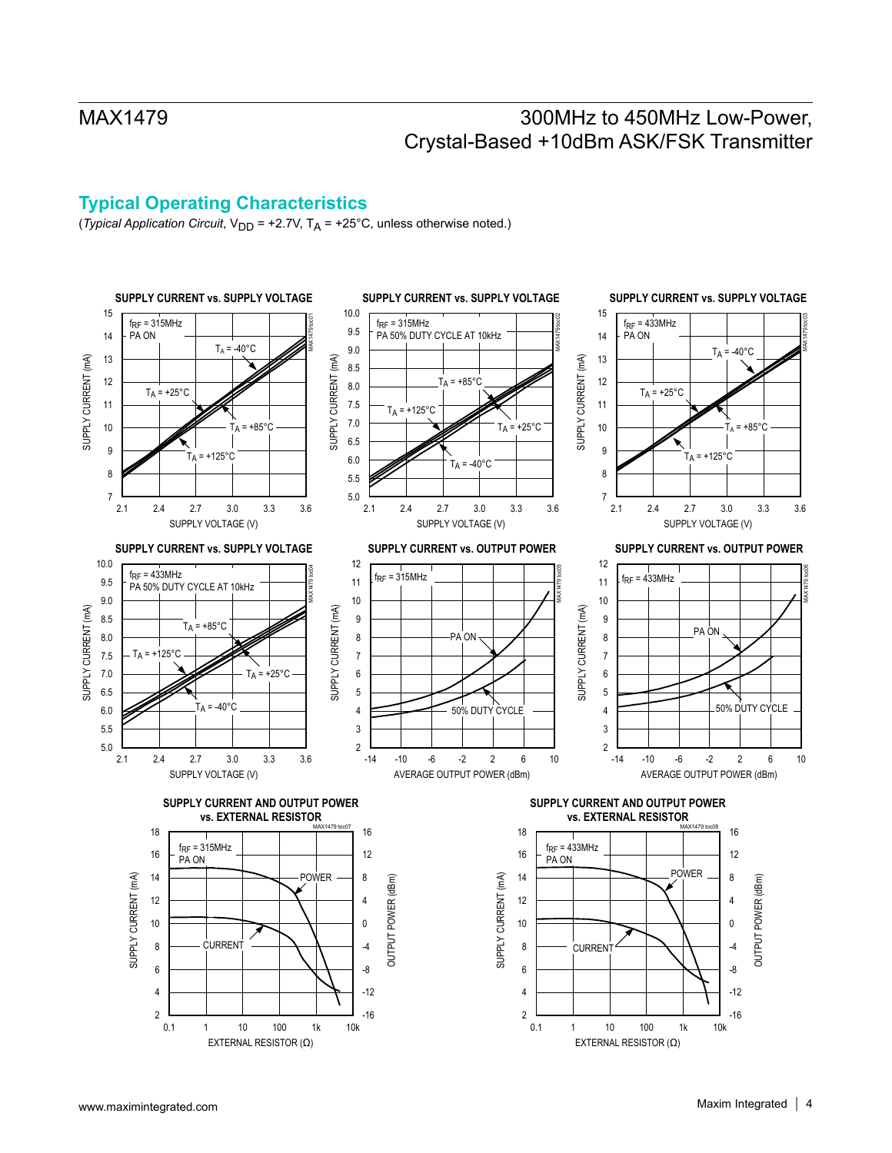## **Typical Operating Characteristics**

(*Typical Application Circuit*, V<sub>DD</sub> = +2.7V, T<sub>A</sub> = +25°C, unless otherwise noted.)

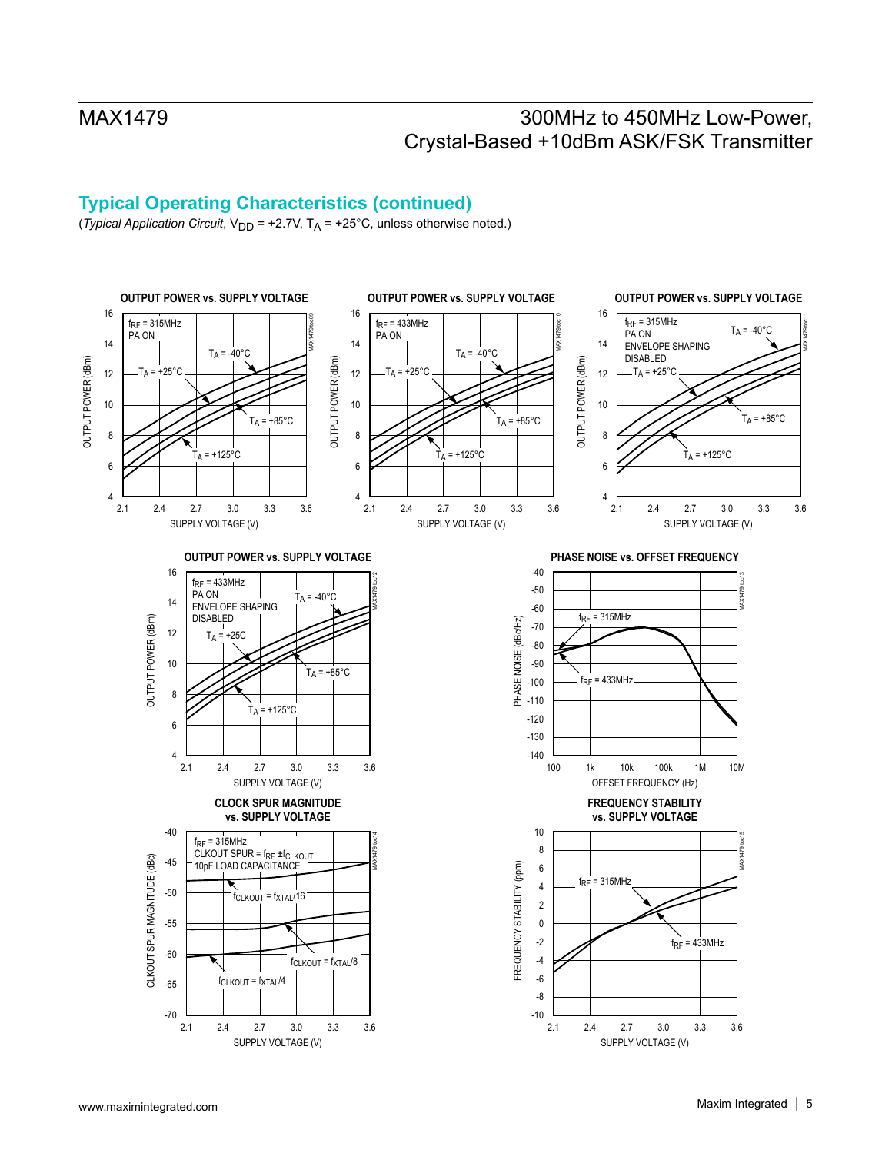# **Typical Operating Characteristics (continued)**

(*Typical Application Circuit*,  $V_{DD}$  = +2.7V,  $T_A$  = +25°C, unless otherwise noted.)

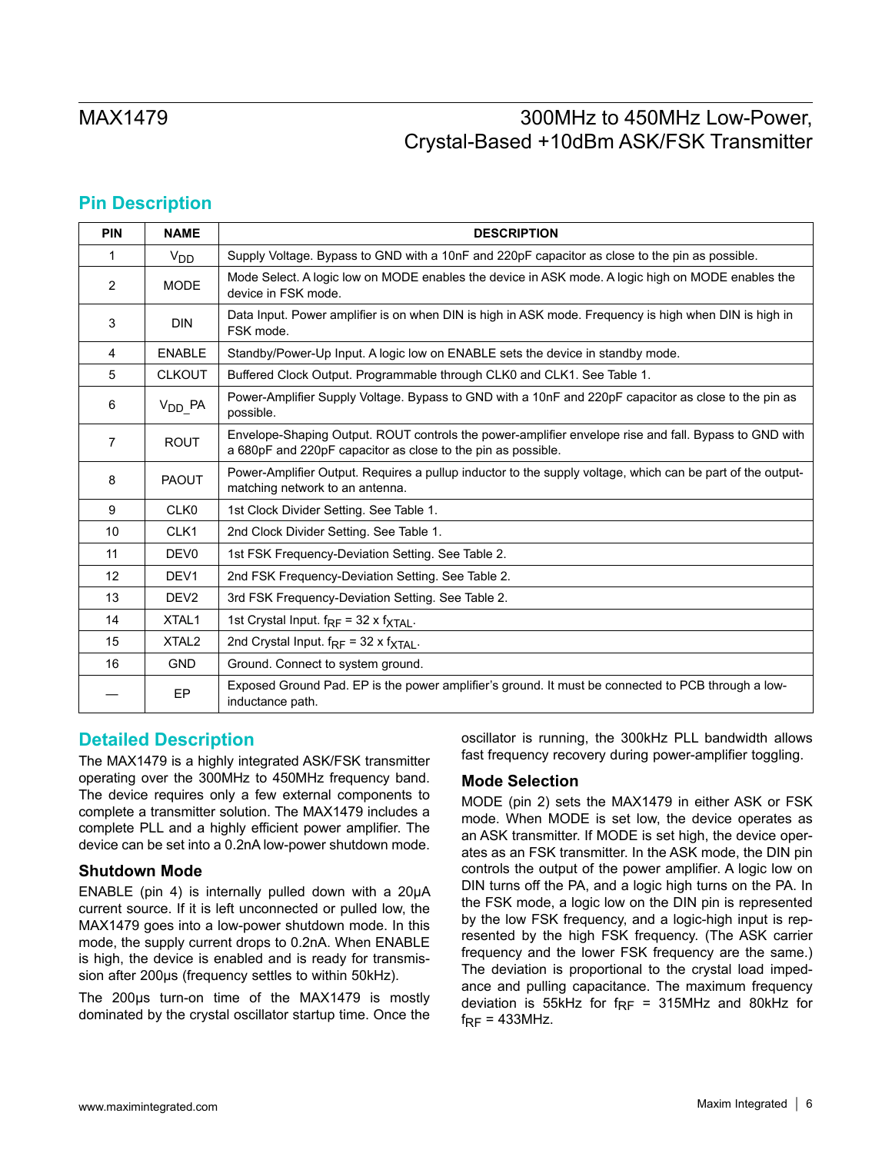## **Pin Description**

| <b>PIN</b>        | <b>NAME</b>       | <b>DESCRIPTION</b>                                                                                                                                                    |
|-------------------|-------------------|-----------------------------------------------------------------------------------------------------------------------------------------------------------------------|
| 1                 | $V_{DD}$          | Supply Voltage. Bypass to GND with a 10nF and 220pF capacitor as close to the pin as possible.                                                                        |
| $\overline{2}$    | <b>MODE</b>       | Mode Select. A logic low on MODE enables the device in ASK mode. A logic high on MODE enables the<br>device in FSK mode.                                              |
| 3                 | <b>DIN</b>        | Data Input. Power amplifier is on when DIN is high in ASK mode. Frequency is high when DIN is high in<br>FSK mode.                                                    |
| $\overline{4}$    | <b>ENABLE</b>     | Standby/Power-Up Input. A logic low on ENABLE sets the device in standby mode.                                                                                        |
| 5                 | <b>CLKOUT</b>     | Buffered Clock Output. Programmable through CLK0 and CLK1. See Table 1.                                                                                               |
| 6                 | $V_{DD}$ PA       | Power-Amplifier Supply Voltage. Bypass to GND with a 10nF and 220pF capacitor as close to the pin as<br>possible.                                                     |
| 7                 | <b>ROUT</b>       | Envelope-Shaping Output. ROUT controls the power-amplifier envelope rise and fall. Bypass to GND with<br>a 680pF and 220pF capacitor as close to the pin as possible. |
| 8                 | <b>PAOUT</b>      | Power-Amplifier Output. Requires a pullup inductor to the supply voltage, which can be part of the output-<br>matching network to an antenna.                         |
| 9                 | CLK <sub>0</sub>  | 1st Clock Divider Setting. See Table 1.                                                                                                                               |
| 10                | CLK <sub>1</sub>  | 2nd Clock Divider Setting. See Table 1.                                                                                                                               |
| 11                | DEV <sub>0</sub>  | 1st FSK Frequency-Deviation Setting. See Table 2.                                                                                                                     |
| $12 \overline{ }$ | DEV <sub>1</sub>  | 2nd FSK Frequency-Deviation Setting. See Table 2.                                                                                                                     |
| 13                | DEV <sub>2</sub>  | 3rd FSK Frequency-Deviation Setting. See Table 2.                                                                                                                     |
| 14                | XTAL <sub>1</sub> | 1st Crystal Input. $f_{RF}$ = 32 x $f_{\text{XTAL}}$ .                                                                                                                |
| 15                | XTAL <sub>2</sub> | 2nd Crystal Input. $f_{RF}$ = 32 x $f_{XTAL}$ .                                                                                                                       |
| 16                | <b>GND</b>        | Ground. Connect to system ground.                                                                                                                                     |
|                   | EP                | Exposed Ground Pad. EP is the power amplifier's ground. It must be connected to PCB through a low-<br>inductance path.                                                |

## **Detailed Description**

The MAX1479 is a highly integrated ASK/FSK transmitter operating over the 300MHz to 450MHz frequency band. The device requires only a few external components to complete a transmitter solution. The MAX1479 includes a complete PLL and a highly efficient power amplifier. The device can be set into a 0.2nA low-power shutdown mode.

### **Shutdown Mode**

ENABLE (pin 4) is internally pulled down with a 20μA current source. If it is left unconnected or pulled low, the MAX1479 goes into a low-power shutdown mode. In this mode, the supply current drops to 0.2nA. When ENABLE is high, the device is enabled and is ready for transmission after 200μs (frequency settles to within 50kHz).

The 200μs turn-on time of the MAX1479 is mostly dominated by the crystal oscillator startup time. Once the oscillator is running, the 300kHz PLL bandwidth allows fast frequency recovery during power-amplifier toggling.

### **Mode Selection**

MODE (pin 2) sets the MAX1479 in either ASK or FSK mode. When MODE is set low, the device operates as an ASK transmitter. If MODE is set high, the device operates as an FSK transmitter. In the ASK mode, the DIN pin controls the output of the power amplifier. A logic low on DIN turns off the PA, and a logic high turns on the PA. In the FSK mode, a logic low on the DIN pin is represented by the low FSK frequency, and a logic-high input is represented by the high FSK frequency. (The ASK carrier frequency and the lower FSK frequency are the same.) The deviation is proportional to the crystal load impedance and pulling capacitance. The maximum frequency deviation is 55kHz for  $f_{RF}$  = 315MHz and 80kHz for  $f_{RF}$  = 433MHz.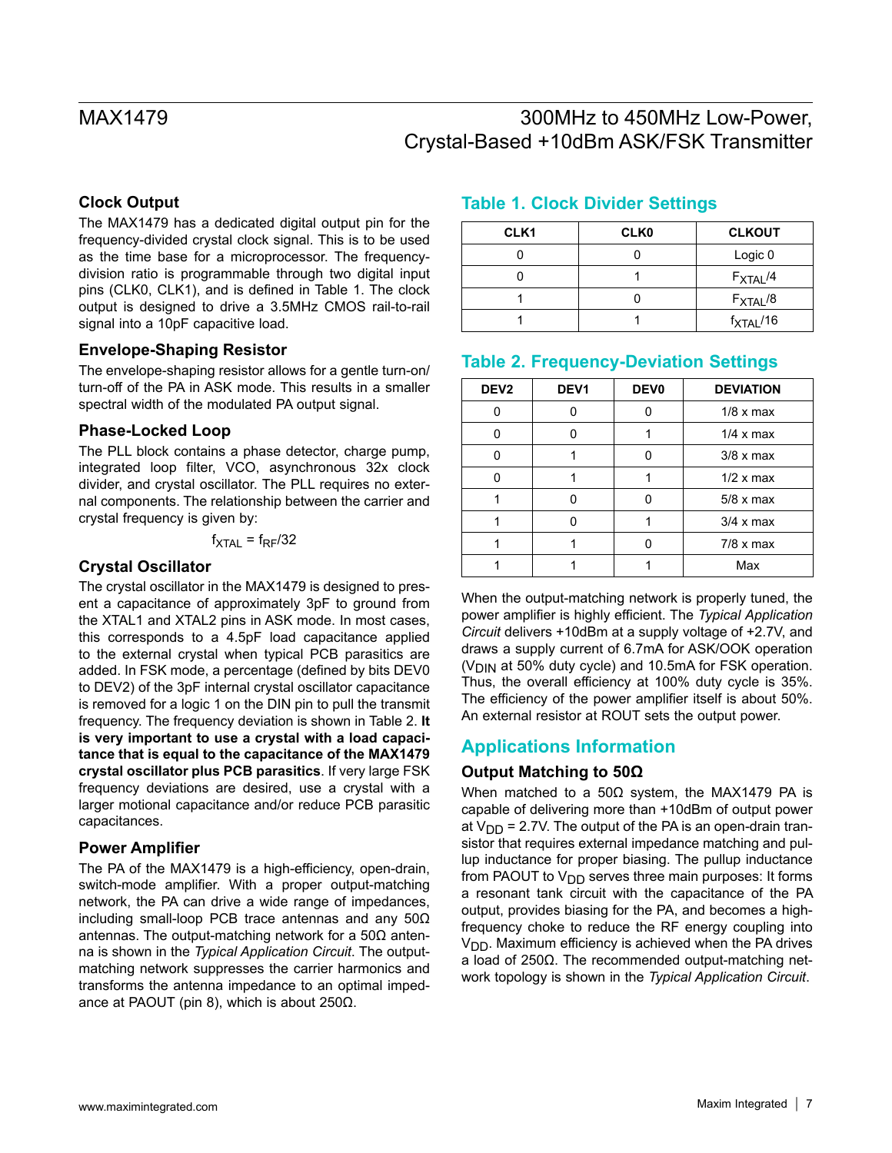## **Clock Output**

The MAX1479 has a dedicated digital output pin for the frequency-divided crystal clock signal. This is to be used as the time base for a microprocessor. The frequencydivision ratio is programmable through two digital input pins (CLK0, CLK1), and is defined in Table 1. The clock output is designed to drive a 3.5MHz CMOS rail-to-rail signal into a 10pF capacitive load.

### **Envelope-Shaping Resistor**

The envelope-shaping resistor allows for a gentle turn-on/ turn-off of the PA in ASK mode. This results in a smaller spectral width of the modulated PA output signal.

### **Phase-Locked Loop**

The PLL block contains a phase detector, charge pump, integrated loop filter, VCO, asynchronous 32x clock divider, and crystal oscillator. The PLL requires no external components. The relationship between the carrier and crystal frequency is given by:

### $f_{\text{XTAL}} = f_{\text{RF}}/32$

### **Crystal Oscillator**

The crystal oscillator in the MAX1479 is designed to present a capacitance of approximately 3pF to ground from the XTAL1 and XTAL2 pins in ASK mode. In most cases, this corresponds to a 4.5pF load capacitance applied to the external crystal when typical PCB parasitics are added. In FSK mode, a percentage (defined by bits DEV0 to DEV2) of the 3pF internal crystal oscillator capacitance is removed for a logic 1 on the DIN pin to pull the transmit frequency. The frequency deviation is shown in Table 2. **It is very important to use a crystal with a load capacitance that is equal to the capacitance of the MAX1479 crystal oscillator plus PCB parasitics**. If very large FSK frequency deviations are desired, use a crystal with a larger motional capacitance and/or reduce PCB parasitic capacitances.

### **Power Amplifier**

The PA of the MAX1479 is a high-efficiency, open-drain, switch-mode amplifier. With a proper output-matching network, the PA can drive a wide range of impedances, including small-loop PCB trace antennas and any 50Ω antennas. The output-matching network for a 50Ω antenna is shown in the *Typical Application Circuit*. The outputmatching network suppresses the carrier harmonics and transforms the antenna impedance to an optimal impedance at PAOUT (pin 8), which is about 250Ω.

## **Table 1. Clock Divider Settings**

| CLK <sub>1</sub> | <b>CLK0</b> | <b>CLKOUT</b>        |
|------------------|-------------|----------------------|
|                  |             | Logic 0              |
|                  |             | $F_{\text{XTAL}}/4$  |
|                  |             | $F_{\text{XTAL}}/8$  |
|                  |             | $f_{\text{XTAL}}/16$ |

## **Table 2. Frequency-Deviation Settings**

| DEV <sub>2</sub> | DEV <sub>1</sub> | DEV <sub>0</sub> | <b>DEVIATION</b> |
|------------------|------------------|------------------|------------------|
|                  |                  |                  | $1/8 \times max$ |
|                  |                  |                  | $1/4 \times max$ |
| U                |                  | n                | $3/8 \times max$ |
|                  |                  |                  | $1/2 \times max$ |
|                  | ∩                | n                | $5/8 \times max$ |
|                  |                  |                  | $3/4 \times max$ |
|                  |                  |                  | $7/8 \times max$ |
|                  |                  |                  | Max              |

When the output-matching network is properly tuned, the power amplifier is highly efficient. The *Typical Application Circuit* delivers +10dBm at a supply voltage of +2.7V, and draws a supply current of 6.7mA for ASK/OOK operation  $(V<sub>DIN</sub>$  at 50% duty cycle) and 10.5mA for FSK operation. Thus, the overall efficiency at 100% duty cycle is 35%. The efficiency of the power amplifier itself is about 50%. An external resistor at ROUT sets the output power.

## **Applications Information**

## **Output Matching to 50Ω**

When matched to a 50Ω system, the MAX1479 PA is capable of delivering more than +10dBm of output power at  $V_{DD}$  = 2.7V. The output of the PA is an open-drain transistor that requires external impedance matching and pullup inductance for proper biasing. The pullup inductance from PAOUT to  $V_{\text{DD}}$  serves three main purposes: It forms a resonant tank circuit with the capacitance of the PA output, provides biasing for the PA, and becomes a highfrequency choke to reduce the RF energy coupling into  $V<sub>DD</sub>$ . Maximum efficiency is achieved when the PA drives a load of 250Ω. The recommended output-matching network topology is shown in the *Typical Application Circuit*.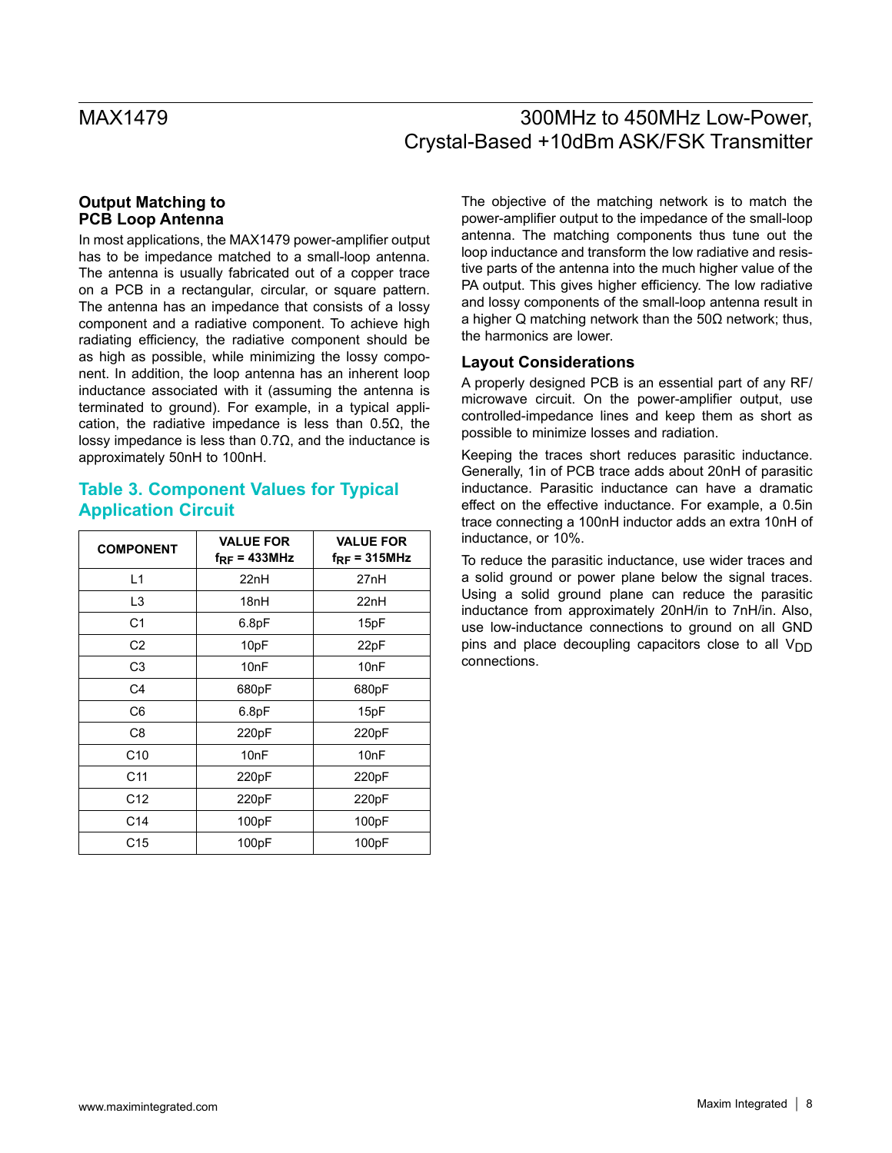### **Output Matching to PCB Loop Antenna**

In most applications, the MAX1479 power-amplifier output has to be impedance matched to a small-loop antenna. The antenna is usually fabricated out of a copper trace on a PCB in a rectangular, circular, or square pattern. The antenna has an impedance that consists of a lossy component and a radiative component. To achieve high radiating efficiency, the radiative component should be as high as possible, while minimizing the lossy component. In addition, the loop antenna has an inherent loop inductance associated with it (assuming the antenna is terminated to ground). For example, in a typical application, the radiative impedance is less than 0.5Ω, the lossy impedance is less than 0.7Ω, and the inductance is approximately 50nH to 100nH.

## **Table 3. Component Values for Typical Application Circuit**

| <b>COMPONENT</b> | <b>VALUE FOR</b><br>$f_{RF}$ = 433MHz | <b>VALUE FOR</b><br>$f_{RF}$ = 315MHz |
|------------------|---------------------------------------|---------------------------------------|
| L1               | 22nH                                  | 27nH                                  |
| L <sub>3</sub>   | 18nH                                  | 22nH                                  |
| C <sub>1</sub>   | 6.8pF                                 | 15pF                                  |
| C <sub>2</sub>   | 10pF                                  | 22pF                                  |
| C <sub>3</sub>   | 10 <sub>nF</sub>                      | 10 <sub>nF</sub>                      |
| C <sub>4</sub>   | 680pF                                 | 680pF                                 |
| C <sub>6</sub>   | 6.8pF                                 | 15pF                                  |
| C8               | 220pF                                 | 220pF                                 |
| C <sub>10</sub>  | 10 <sub>nF</sub>                      | 10 <sub>nF</sub>                      |
| C <sub>11</sub>  | 220pF                                 | 220pF                                 |
| C <sub>12</sub>  | 220pF                                 | 220pF                                 |
| C14              | 100pF                                 | 100pF                                 |
| C <sub>15</sub>  | 100pF                                 | 100pF                                 |

The objective of the matching network is to match the power-amplifier output to the impedance of the small-loop antenna. The matching components thus tune out the loop inductance and transform the low radiative and resistive parts of the antenna into the much higher value of the PA output. This gives higher efficiency. The low radiative and lossy components of the small-loop antenna result in a higher Q matching network than the 50Ω network; thus, the harmonics are lower.

### **Layout Considerations**

A properly designed PCB is an essential part of any RF/ microwave circuit. On the power-amplifier output, use controlled-impedance lines and keep them as short as possible to minimize losses and radiation.

Keeping the traces short reduces parasitic inductance. Generally, 1in of PCB trace adds about 20nH of parasitic inductance. Parasitic inductance can have a dramatic effect on the effective inductance. For example, a 0.5in trace connecting a 100nH inductor adds an extra 10nH of inductance, or 10%.

To reduce the parasitic inductance, use wider traces and a solid ground or power plane below the signal traces. Using a solid ground plane can reduce the parasitic inductance from approximately 20nH/in to 7nH/in. Also, use low-inductance connections to ground on all GND pins and place decoupling capacitors close to all  $V_{\text{DD}}$ connections.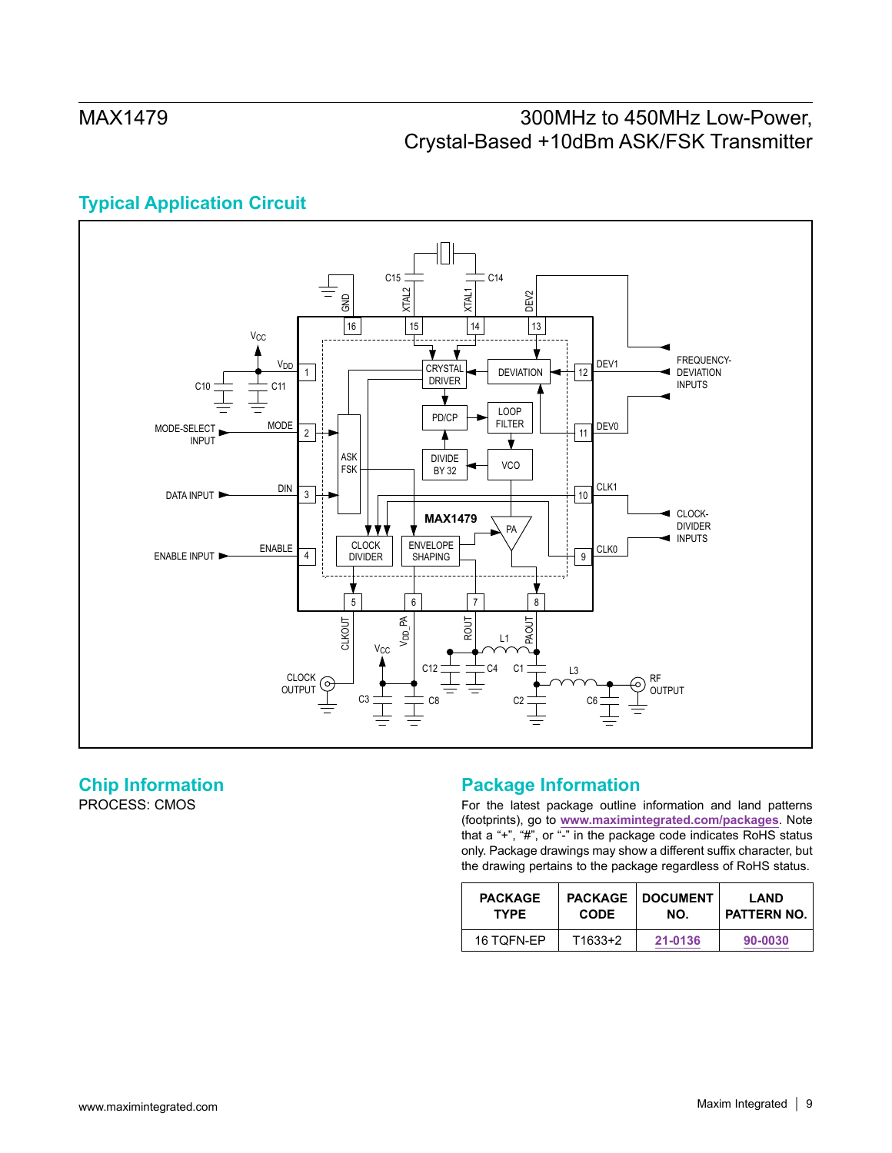# **Typical Application Circuit**



# **Chip Information**

PROCESS: CMOS

## **Package Information**

For the latest package outline information and land patterns (footprints), go to **[www.maximintegrated.com/packages](http://www.maximintegrated.com/packages)**. Note that a "+", "#", or "-" in the package code indicates RoHS status only. Package drawings may show a different suffix character, but the drawing pertains to the package regardless of RoHS status.

| <b>PACKAGE</b> | <b>PACKAGE</b> | <b>DOCUMENT</b> | LAND        |
|----------------|----------------|-----------------|-------------|
| <b>TYPE</b>    | <b>CODE</b>    | NO.             | PATTERN NO. |
| 16 TQFN-EP     | T1633+2        | 21-0136         | 90-0030     |